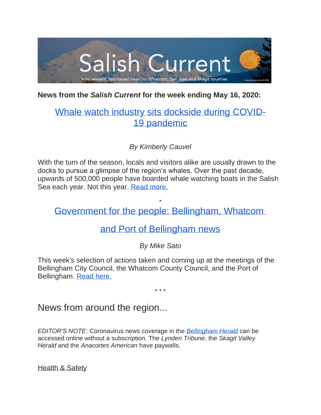

## **News from the** *Salish Current* **for the week ending May 16, 2020:**

# [Whale watch industry sits dockside during COVID-](https://salish-current.org/2020/05/16/whale-watch-industry-sits-dockside-during-covid-19-pandemic/)19 [pandemic](https://salish-current.org/2020/05/16/whale-watch-industry-sits-dockside-during-covid-19-pandemic/)

*By Kimberly Cauvel*

With the turn of the season, locals and visitors alike are usually drawn to the docks to pursue a glimpse of the region's whales. Over the past decade, upwards of 500,000 people have boarded whale watching boats in the Salish Sea each year. Not this year. [Read more.](https://salish-current.org/2020/05/16/whale-watch-industry-sits-dockside-during-covid-19-pandemic/)

\* [Government for the people: Bellingham, Whatcom](https://salish-current.org/2020/05/15/government-for-the-people-bellingham-whatcom-and-port-of-bellingham-news-this-week/)

## [and Port of Bellingham news](https://salish-current.org/2020/05/15/government-for-the-people-bellingham-whatcom-and-port-of-bellingham-news-this-week/)

## *By Mike Sato*

This week's selection of actions taken and coming up at the meetings of the Bellingham City Council, the Whatcom County Council, and the Port of Bellingham. [Read here.](https://salish-current.org/2020/05/15/government-for-the-people-bellingham-whatcom-and-port-of-bellingham-news-this-week/)

\* \* \*

## News from around the region...

*EDITOR'S NOTE*: Coronavirus news coverage in the *[Bellingham Herald](https://www.bellinghamherald.com/)* can be accessed online without a subscription. The *Lynden Tribune*, the *Skagit Valley Herald* and the *Anacortes American* have paywalls.

Health & Safety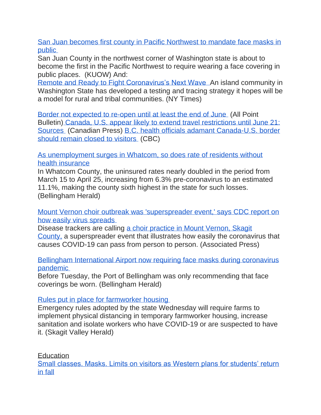[San Juan becomes first county in Pacific Northwest to mandate face masks in](https://kuow.org/stories/san-juan-becomes-first-county-in-pacnw-to-require-masks-in-public)  [public](https://kuow.org/stories/san-juan-becomes-first-county-in-pacnw-to-require-masks-in-public)

San Juan County in the northwest corner of Washington state is about to become the first in the Pacific Northwest to require wearing a face covering in public places. (KUOW) And:

[Remote and Ready to Fight](https://www.nytimes.com/2020/05/16/health/coronavirus-vashon-washington.html) Coronavirus's Next Wave An island community in Washington State has developed a testing and tracing strategy it hopes will be a model for rural and tribal communities. (NY Times)

[Border not expected to re-open until at least the end of June](https://www.allpointbulletin.com/stories/border-not-expected-to-re-open-until-at-least-the-end-of-june,10516) (All Point Bulletin) [Canada, U.S. appear likely to extend travel restrictions until June 21:](https://canoe.com/news/national/canada-u-s-appear-likely-to-extend-travel-restrictions-until-june-21-sources)  [Sources](https://canoe.com/news/national/canada-u-s-appear-likely-to-extend-travel-restrictions-until-june-21-sources) (Canadian Press) [B.C. health officials adamant Canada-U.S. border](https://www.cbc.ca/news/canada/british-columbia/b-c-health-officials-adamant-canada-u-s-border-should-remain-closed-to-visitors-1.5565512)  [should remain closed to visitors](https://www.cbc.ca/news/canada/british-columbia/b-c-health-officials-adamant-canada-u-s-border-should-remain-closed-to-visitors-1.5565512) (CBC)

[As unemployment surges in Whatcom, so does rate of residents without](https://www.bellinghamherald.com/news/coronavirus/article242558296.html)  [health insurance](https://www.bellinghamherald.com/news/coronavirus/article242558296.html)

In Whatcom County, the uninsured rates nearly doubled in the period from March 15 to April 25, increasing from 6.3% pre-coronavirus to an estimated 11.1%, making the county sixth highest in the state for such losses. (Bellingham Herald)

[Mount Vernon choir outbreak was 'superspreader event,' says CDC report on](https://www.seattletimes.com/seattle-news/health/mount-vernon-choir-outbreak-was-superspreader-event-says-cdc-report-on-how-easily-virus-spreads/?utm_source=referral&utm_medium=mobile-app&utm_campaign=ios)  [how easily virus spreads](https://www.seattletimes.com/seattle-news/health/mount-vernon-choir-outbreak-was-superspreader-event-says-cdc-report-on-how-easily-virus-spreads/?utm_source=referral&utm_medium=mobile-app&utm_campaign=ios)

Disease trackers are calling [a choir practice in Mount Vernon, Skagit](https://www.seattletimes.com/nation-world/a-mount-vernon-choir-went-ahead-with-rehearsal-now-dozens-have-coronavirus-and-2-are-dead/)  [County,](https://www.seattletimes.com/nation-world/a-mount-vernon-choir-went-ahead-with-rehearsal-now-dozens-have-coronavirus-and-2-are-dead/) a superspreader event that illustrates how easily the coronavirus that causes COVID-19 can pass from person to person. (Associated Press)

Bellingham International Airport [now requiring face masks during coronavirus](https://www.bellinghamherald.com/news/coronavirus/article242655671.html)  [pandemic](https://www.bellinghamherald.com/news/coronavirus/article242655671.html)

Before Tuesday, the Port of Bellingham was only recommending that face coverings be worn. (Bellingham Herald)

[Rules put in place for farmworker housing](https://www.goskagit.com/coronavirus/rules-put-in-place-for-farmworker-housing/article_11fe4b26-f29f-51d6-be3a-719f2c1e816e.html)

Emergency rules adopted by the state Wednesday will require farms to implement physical distancing in temporary farmworker housing, increase sanitation and isolate workers who have COVID-19 or are suspected to have it. (Skagit Valley Herald)

**Education** 

[Small classes. Masks. Limits on visitors as Western plans for students' return](https://www.bellinghamherald.com/news/coronavirus/article242689291.html)  [in fall](https://www.bellinghamherald.com/news/coronavirus/article242689291.html)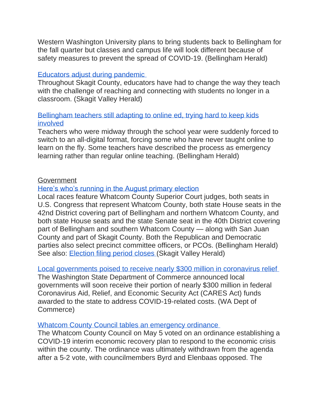Western Washington University plans to bring students back to Bellingham for the fall quarter but classes and campus life will look different because of safety measures to prevent the spread of COVID-19. (Bellingham Herald)

#### [Educators adjust during pandemic](https://www.goskagit.com/news/local_news/educators-adjust-during-pandemic/article_4d7ec408-cf73-5094-9683-78a77349f87d.html?utm_medium=social&utm_source=email&utm_campaign=user-share)

Throughout Skagit County, educators have had to change the way they teach with the challenge of reaching and connecting with students no longer in a classroom. (Skagit Valley Herald)

## [Bellingham teachers still adapting to online ed, trying hard to keep kids](https://www.bellinghamherald.com/news/coronavirus/article242329931.html)  [involved](https://www.bellinghamherald.com/news/coronavirus/article242329931.html)

Teachers who were midway through the school year were suddenly forced to switch to an all-digital format, forcing some who have never taught online to learn on the fly. Some teachers have described the process as emergency learning rather than regular online teaching. (Bellingham Herald)

## **Government**

## [Here's who's running in the August primary election](https://www.bellinghamherald.com/news/politics-government/election/local-election/article242707361.html)

Local races feature Whatcom County Superior Court judges, both seats in U.S. Congress that represent Whatcom County, both state House seats in the 42nd District covering part of Bellingham and northern Whatcom County, and both state House seats and the state Senate seat in the 40th District covering part of Bellingham and southern Whatcom County — along with San Juan County and part of Skagit County. Both the Republican and Democratic parties also select precinct committee officers, or PCOs. (Bellingham Herald) See also: [Election filing period closes](https://www.goskagit.com/news/local_news/election-filing-period-closes/article_8a404b32-eb61-5e47-b9d3-41cdfba0da81.html?utm_medium=social&utm_source=email&utm_campaign=user-share) (Skagit Valley Herald)

#### [Local governments poised to receive nearly \\$300 million in coronavirus relief](https://www.islandssounder.com/news/local-governments-poised-to-receive-nearly-300-million-in-coronavirus-relief/)

The Washington State Department of Commerce announced local governments will soon receive their portion of nearly \$300 million in federal Coronavirus Aid, Relief, and Economic Security Act (CARES Act) funds awarded to the state to address COVID-19-related costs. (WA Dept of Commerce)

#### [Whatcom County Council tables an emergency ordinance](https://www.westernfrontonline.com/2020/05/14/whatcom-county-council-tables-an-emergency-ordinance/)

The Whatcom County Council on May 5 voted on an ordinance establishing a COVID-19 interim economic recovery plan to respond to the economic crisis within the county. The ordinance was ultimately withdrawn from the agenda after a 5-2 vote, with councilmembers Byrd and Elenbaas opposed. The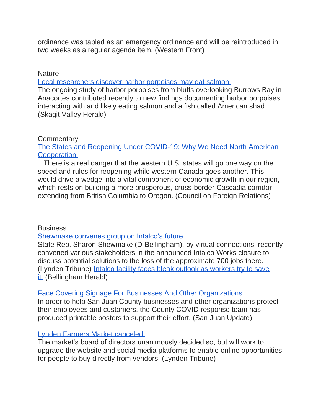ordinance was tabled as an emergency ordinance and will be reintroduced in two weeks as a regular agenda item. (Western Front)

#### **Nature**

[Local researchers discover harbor porpoises may eat salmon](https://www.goskagit.com/news/local_news/local-researchers-discover-harbor-porpoises-may-eat-salmon/article_a5411edd-1a0c-5029-a283-654663d8238f.html)

The ongoing study of harbor porpoises from bluffs overlooking Burrows Bay in Anacortes contributed recently to new findings documenting harbor porpoises interacting with and likely eating salmon and a fish called American shad. (Skagit Valley Herald)

## **Commentary**

[The States and Reopening Under COVID-19: Why We Need North American](https://www.cfr.org/blog/states-and-reopening-under-covid-19-why-we-need-north-american-cooperation)  **[Cooperation](https://www.cfr.org/blog/states-and-reopening-under-covid-19-why-we-need-north-american-cooperation)** 

...There is a real danger that the western U.S. states will go one way on the speed and rules for reopening while western Canada goes another. This would drive a wedge into a vital component of economic growth in our region, which rests on building a more prosperous, cross-border Cascadia corridor extending from British Columbia to Oregon. (Council on Foreign Relations)

## **Business**

#### [Shewmake convenes group on Intalco's future](https://www.lyndentribune.com/news/shewmake-convenes-group-on-intalco-s-future/article_e9da2e8e-9534-11ea-ae7a-93ee790b1c72.html)

State Rep. Sharon Shewmake (D-Bellingham), by virtual connections, recently convened various stakeholders in the announced Intalco Works closure to discuss potential solutions to the loss of the approximate 700 jobs there. (Lynden Tribune) [Intalco facility faces bleak outlook as workers try to save](https://www.bellinghamherald.com/news/business/article242614136.html)  [it](https://www.bellinghamherald.com/news/business/article242614136.html) (Bellingham Herald)

## [Face Covering Signage For Businesses And Other Organizations](https://sanjuanupdate.com/2020/05/face-covering-signage-for-businesses-and-other-organizations/)

In order to help San Juan County businesses and other organizations protect their employees and customers, the County COVID response team has produced printable posters to support their effort. (San Juan Update)

## [Lynden Farmers Market canceled](https://www.lyndentribune.com/community/lynden-farmers-market-canceled/article_7dcb2274-9607-11ea-a6f6-17e5871c666d.html)

The market's board of directors unanimously decided so, but will work to upgrade the website and social media platforms to enable online opportunities for people to buy directly from vendors. (Lynden Tribune)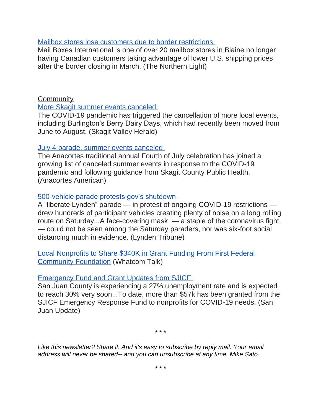#### [Mailbox stores lose customers due to border restrictions](https://www.thenorthernlight.com/stories/mailbox-stores-lose-customers-due-to-border-restrictions,10506?)

Mail Boxes International is one of over 20 mailbox stores in Blaine no longer having Canadian customers taking advantage of lower U.S. shipping prices after the border closing in March. (The Northern Light)

## **Community**

#### [More Skagit summer events canceled](https://www.goskagit.com/news/local_news/more-summer-events-canceled/article_f0d18c4f-40ff-515f-8280-7cc79e178b93.html?utm_medium=social&utm_source=email&utm_campaign=user-share)

The COVID-19 pandemic has triggered the cancellation of more local events, including Burlington's Berry Dairy Days, which had recently been moved from June to August. (Skagit Valley Herald)

#### [July 4 parade, summer events canceled](https://www.goskagit.com/anacortes/coronavirus/july-4-parade-summer-events-canceled/article_df8b17c2-94a3-11ea-b73d-3709fe13129b.html)

The Anacortes traditional annual Fourth of July celebration has joined a growing list of canceled summer events in response to the COVID-19 pandemic and following guidance from Skagit County Public Health. (Anacortes American)

#### [500-vehicle parade protests gov's shutdown](https://www.lyndentribune.com/news/500-vehicle-parade-protests-gov-s-shutdown/article_08c058e8-952e-11ea-bc4b-0f518e3bf50b.html)

A "liberate Lynden" parade — in protest of ongoing COVID-19 restrictions drew hundreds of participant vehicles creating plenty of noise on a long rolling route on Saturday...A face-covering mask — a staple of the coronavirus fight — could not be seen among the Saturday paraders, nor was six-foot social distancing much in evidence. (Lynden Tribune)

[Local Nonprofits to Share \\$340K in Grant Funding From First Federal](https://www.whatcomtalk.com/2020/05/13/local-nonprofits-to-share-340k-in-grant-funding-from-first-federal-community-foundation/)  [Community Foundation](https://www.whatcomtalk.com/2020/05/13/local-nonprofits-to-share-340k-in-grant-funding-from-first-federal-community-foundation/) (Whatcom Talk)

#### [Emergency Fund and Grant Updates from SJICF](https://sanjuanupdate.com/2020/05/emergency-fund-and-grant-updates-from-sjicf/)

San Juan County is experiencing a 27% unemployment rate and is expected to reach 30% very soon...To date, more than \$57k has been granted from the SJICF Emergency Response Fund to nonprofits for COVID-19 needs. (San Juan Update)

*\* \* \**

*Like this newsletter? Share it. And it's easy to subscribe by reply mail. Your email address will never be shared-- and you can unsubscribe at any time. Mike Sato.*

*\* \* \**